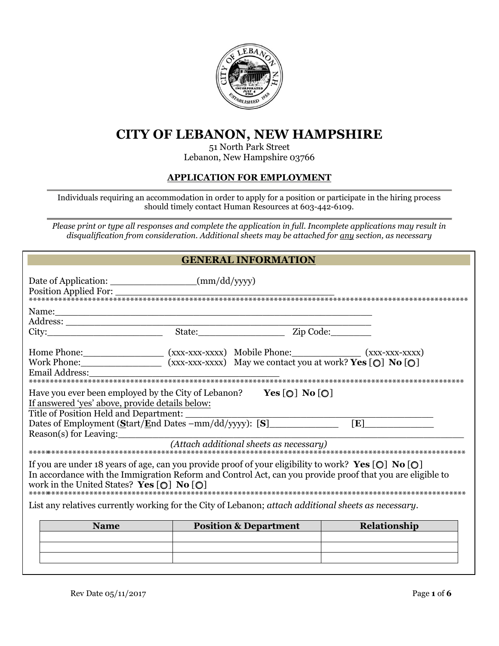

# **CITY OF LEBANON, NEW HAMPSHIRE**

### 51 North Park Street Lebanon, New Hampshire 03766

### **APPLICATION FOR EMPLOYMENT**

Individuals requiring an accommodation in order to apply for a position or participate in the hiring process should timely contact Human Resources at 603-442-6109.

*Please print or type all responses and complete the application in full. Incomplete applications may result in disqualification from consideration. Additional sheets may be attached for any section, as necessary* 

## **GENERAL INFORMATION**

| Date of Application: _______________________(mm/dd/yyyy)<br>Position Applied For:                                                                                                                                                                                                                           |  |                                  |              |  |  |
|-------------------------------------------------------------------------------------------------------------------------------------------------------------------------------------------------------------------------------------------------------------------------------------------------------------|--|----------------------------------|--------------|--|--|
|                                                                                                                                                                                                                                                                                                             |  |                                  |              |  |  |
|                                                                                                                                                                                                                                                                                                             |  |                                  |              |  |  |
| Work Phone: $(xxx-xxx-xx)$ May we contact you at work? Yes [O] No [O]<br>Email Address:                                                                                                                                                                                                                     |  |                                  |              |  |  |
| Have you ever been employed by the City of Lebanon? $Yes [O] No [O]$<br>If answered 'yes' above, provide details below:<br>Title of Position Held and Department:<br>Dates of Employment $(S$ tart/End Dates $-mm/dd/yy$ yy): $[S]$ [E]                                                                     |  |                                  |              |  |  |
|                                                                                                                                                                                                                                                                                                             |  |                                  |              |  |  |
| If you are under 18 years of age, can you provide proof of your eligibility to work? Yes $[O]$ No $[O]$<br>In accordance with the Immigration Reform and Control Act, can you provide proof that you are eligible to<br>work in the United States? Yes $\lceil \bigcirc \rceil$ No $\lceil \bigcirc \rceil$ |  |                                  |              |  |  |
| List any relatives currently working for the City of Lebanon; attach additional sheets as necessary.                                                                                                                                                                                                        |  |                                  |              |  |  |
| <b>Name</b>                                                                                                                                                                                                                                                                                                 |  | <b>Position &amp; Department</b> | Relationship |  |  |
|                                                                                                                                                                                                                                                                                                             |  |                                  |              |  |  |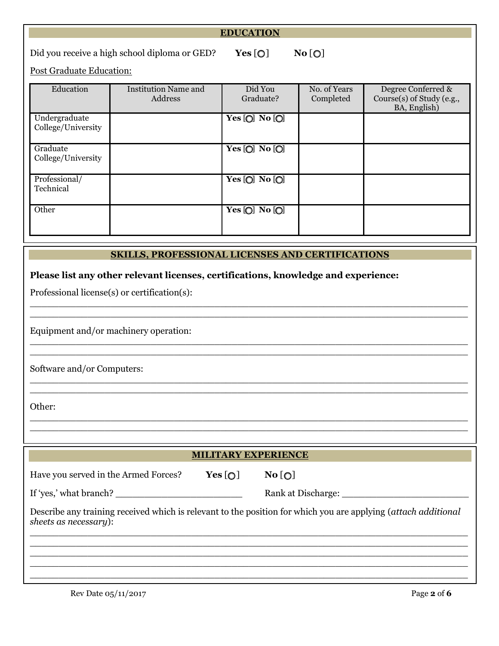|                                                                                                                                                                                                                                        |                                        | <b>EDUCATION</b>     |                           |                                                                 |  |
|----------------------------------------------------------------------------------------------------------------------------------------------------------------------------------------------------------------------------------------|----------------------------------------|----------------------|---------------------------|-----------------------------------------------------------------|--|
| No [O]<br>Did you receive a high school diploma or GED?<br>Yes[O]                                                                                                                                                                      |                                        |                      |                           |                                                                 |  |
| <b>Post Graduate Education:</b>                                                                                                                                                                                                        |                                        |                      |                           |                                                                 |  |
| Education                                                                                                                                                                                                                              | <b>Institution Name and</b><br>Address | Did You<br>Graduate? | No. of Years<br>Completed | Degree Conferred &<br>Course(s) of Study (e.g.,<br>BA, English) |  |
| Undergraduate<br>College/University                                                                                                                                                                                                    |                                        | Yes $[O]$ No $[O]$   |                           |                                                                 |  |
| Graduate<br>College/University                                                                                                                                                                                                         |                                        | Yes [O] No [O]       |                           |                                                                 |  |
| Professional/<br>Technical                                                                                                                                                                                                             |                                        | Yes [O] No [O]       |                           |                                                                 |  |
| Other                                                                                                                                                                                                                                  |                                        | Yes [O] No [O]       |                           |                                                                 |  |
| <b>SKILLS, PROFESSIONAL LICENSES AND CERTIFICATIONS</b><br>Please list any other relevant licenses, certifications, knowledge and experience:<br>Professional license(s) or certification(s):<br>Equipment and/or machinery operation: |                                        |                      |                           |                                                                 |  |
| Software and/or Computers:                                                                                                                                                                                                             |                                        |                      |                           |                                                                 |  |
| Other:                                                                                                                                                                                                                                 |                                        |                      |                           |                                                                 |  |
| <b>MILITARY EXPERIENCE</b>                                                                                                                                                                                                             |                                        |                      |                           |                                                                 |  |
|                                                                                                                                                                                                                                        |                                        |                      |                           |                                                                 |  |
| Have you served in the Armed Forces?                                                                                                                                                                                                   |                                        | Yes[O]<br>No[O]      |                           |                                                                 |  |
| If 'yes,' what branch? $\frac{1}{2}$                                                                                                                                                                                                   |                                        |                      |                           |                                                                 |  |
| Describe any training received which is relevant to the position for which you are applying (attach additional<br>sheets as necessary):                                                                                                |                                        |                      |                           |                                                                 |  |

\_\_\_\_\_\_\_\_\_\_\_\_\_\_\_\_\_\_\_\_\_\_\_\_\_\_\_\_\_\_\_\_\_\_\_\_\_\_\_\_\_\_\_\_\_\_\_\_\_\_\_\_\_\_\_\_\_\_\_\_\_\_\_\_\_\_\_\_\_\_\_\_\_\_\_\_ \_\_\_\_\_\_\_\_\_\_\_\_\_\_\_\_\_\_\_\_\_\_\_\_\_\_\_\_\_\_\_\_\_\_\_\_\_\_\_\_\_\_\_\_\_\_\_\_\_\_\_\_\_\_\_\_\_\_\_\_\_\_\_\_\_\_\_\_\_\_\_\_\_\_\_\_ \_\_\_\_\_\_\_\_\_\_\_\_\_\_\_\_\_\_\_\_\_\_\_\_\_\_\_\_\_\_\_\_\_\_\_\_\_\_\_\_\_\_\_\_\_\_\_\_\_\_\_\_\_\_\_\_\_\_\_\_\_\_\_\_\_\_\_\_\_\_\_\_\_\_\_\_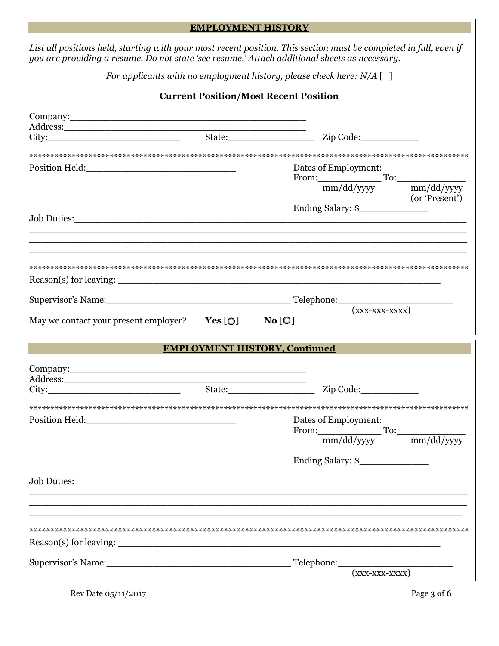|                                                                                                                                                                                                                                                                                     | <b>EMPLOYMENT HISTORY</b>                    |                                                                                                                   |  |
|-------------------------------------------------------------------------------------------------------------------------------------------------------------------------------------------------------------------------------------------------------------------------------------|----------------------------------------------|-------------------------------------------------------------------------------------------------------------------|--|
| you are providing a resume. Do not state 'see resume.' Attach additional sheets as necessary.                                                                                                                                                                                       |                                              | List all positions held, starting with your most recent position. This section must be completed in full, even if |  |
| For applicants with <u>no employment history</u> , please check here: $N/A$ []                                                                                                                                                                                                      |                                              |                                                                                                                   |  |
|                                                                                                                                                                                                                                                                                     | <b>Current Position/Most Recent Position</b> |                                                                                                                   |  |
| Company: <u>company</u><br>Address: No. 1998. The Commission of the Commission of the Commission of the Commission of the Commission of the Commission of the Commission of the Commission of the Commission of the Commission of the Commission of the C<br>City: State: Zip Code: |                                              |                                                                                                                   |  |
|                                                                                                                                                                                                                                                                                     |                                              |                                                                                                                   |  |
| Position Held: 2000 Position Held:                                                                                                                                                                                                                                                  |                                              | Dates of Employment:                                                                                              |  |
|                                                                                                                                                                                                                                                                                     |                                              | From: $\frac{1}{mm/dd/yyyy}$ To: $\frac{mm/dd/yyyy}{mm/dd/yyyy}$<br>(or 'Present')                                |  |
|                                                                                                                                                                                                                                                                                     |                                              |                                                                                                                   |  |
|                                                                                                                                                                                                                                                                                     |                                              |                                                                                                                   |  |
|                                                                                                                                                                                                                                                                                     |                                              |                                                                                                                   |  |
|                                                                                                                                                                                                                                                                                     |                                              |                                                                                                                   |  |
| May we contact your present employer? $Yes[O]$ No [O]                                                                                                                                                                                                                               |                                              |                                                                                                                   |  |
|                                                                                                                                                                                                                                                                                     |                                              |                                                                                                                   |  |
|                                                                                                                                                                                                                                                                                     | <b>EMPLOYMENT HISTORY, Continued</b>         |                                                                                                                   |  |
|                                                                                                                                                                                                                                                                                     |                                              |                                                                                                                   |  |
| Company: Company:<br>Address:<br>City:                                                                                                                                                                                                                                              | State:                                       | Zip Code:                                                                                                         |  |
| Position Held: 2000 Position Held:                                                                                                                                                                                                                                                  |                                              | Dates of Employment:                                                                                              |  |
|                                                                                                                                                                                                                                                                                     |                                              | From: mm/dd/yyyy To: mm/dd/yyyy                                                                                   |  |
|                                                                                                                                                                                                                                                                                     |                                              |                                                                                                                   |  |
|                                                                                                                                                                                                                                                                                     |                                              |                                                                                                                   |  |
|                                                                                                                                                                                                                                                                                     |                                              |                                                                                                                   |  |
|                                                                                                                                                                                                                                                                                     |                                              |                                                                                                                   |  |
| Supervisor's Name: Telephone:                                                                                                                                                                                                                                                       |                                              | <u> 2008 - Johann Stein, mars an deus Amerikaansk kommunister (</u><br>$(xxx-xxx-xxxx)$                           |  |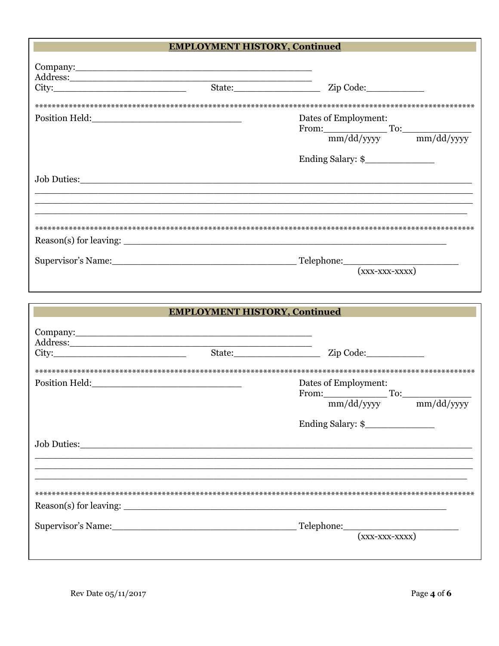# **EMPLOYMENT HISTORY, Continued** Company: Company: Position Held: No. 1996 Dates of Employment: From:  $\frac{1}{mm/dd/yyyy}$  To:  $\frac{mm/dd/yyyy}{mm/dd/yyyy}$ Ending Salary: \$ Job Duties: Supervisor's Name: Telephone: Telephone:  $\overline{\phantom{a}}$  $(xxx-xxx-xxxx)$

| <b>EMPLOYMENT HISTORY, Continued</b> |                                                                                                                                                                                                                                |                                                                                          |  |  |
|--------------------------------------|--------------------------------------------------------------------------------------------------------------------------------------------------------------------------------------------------------------------------------|------------------------------------------------------------------------------------------|--|--|
| Address:<br>City:                    | State: The State of the State of the State of the State of the State of the State of the State of the State of the State of the State of the State of the State of the State of the State of the State of the State of the Sta | Zip Code:                                                                                |  |  |
|                                      |                                                                                                                                                                                                                                |                                                                                          |  |  |
|                                      |                                                                                                                                                                                                                                | Dates of Employment:<br>From: $\frac{1}{mm/dd/yyyy}$ To: $\frac{mm/dd/yyyy}{mm/dd/yyyy}$ |  |  |
|                                      |                                                                                                                                                                                                                                |                                                                                          |  |  |
|                                      |                                                                                                                                                                                                                                |                                                                                          |  |  |
|                                      |                                                                                                                                                                                                                                |                                                                                          |  |  |
|                                      |                                                                                                                                                                                                                                | Supervisor's Name: Telephone: Telephone: (xxx-xxx-xxxx)                                  |  |  |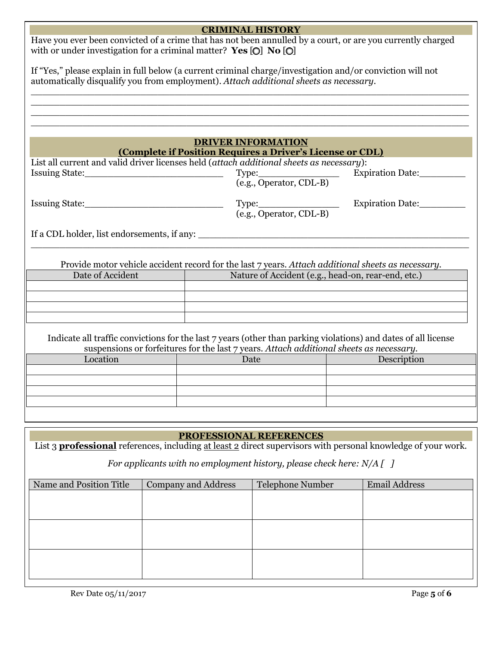| <b>CRIMINAL HISTORY</b>                                                                                                                                                                             |                            |                                                                                                                                                                                                           |                      |  |
|-----------------------------------------------------------------------------------------------------------------------------------------------------------------------------------------------------|----------------------------|-----------------------------------------------------------------------------------------------------------------------------------------------------------------------------------------------------------|----------------------|--|
| Have you ever been convicted of a crime that has not been annulled by a court, or are you currently charged<br>with or under investigation for a criminal matter? Yes $[O]$ No $[O]$                |                            |                                                                                                                                                                                                           |                      |  |
| If "Yes," please explain in full below (a current criminal charge/investigation and/or conviction will not<br>automatically disqualify you from employment). Attach additional sheets as necessary. |                            |                                                                                                                                                                                                           |                      |  |
|                                                                                                                                                                                                     |                            |                                                                                                                                                                                                           |                      |  |
|                                                                                                                                                                                                     |                            |                                                                                                                                                                                                           |                      |  |
|                                                                                                                                                                                                     |                            |                                                                                                                                                                                                           |                      |  |
|                                                                                                                                                                                                     |                            | <b>DRIVER INFORMATION</b>                                                                                                                                                                                 |                      |  |
|                                                                                                                                                                                                     |                            | (Complete if Position Requires a Driver's License or CDL)                                                                                                                                                 |                      |  |
|                                                                                                                                                                                                     |                            | List all current and valid driver licenses held (attach additional sheets as necessary):                                                                                                                  |                      |  |
|                                                                                                                                                                                                     |                            |                                                                                                                                                                                                           | Expiration Date:     |  |
|                                                                                                                                                                                                     |                            |                                                                                                                                                                                                           |                      |  |
|                                                                                                                                                                                                     |                            | (e.g., Operator, CDL-B)                                                                                                                                                                                   | Expiration Date:     |  |
|                                                                                                                                                                                                     |                            | If a CDL holder, list endorsements, if any:                                                                                                                                                               |                      |  |
|                                                                                                                                                                                                     |                            |                                                                                                                                                                                                           |                      |  |
|                                                                                                                                                                                                     |                            | Provide motor vehicle accident record for the last 7 years. Attach additional sheets as necessary.                                                                                                        |                      |  |
| Date of Accident                                                                                                                                                                                    |                            | Nature of Accident (e.g., head-on, rear-end, etc.)                                                                                                                                                        |                      |  |
|                                                                                                                                                                                                     |                            |                                                                                                                                                                                                           |                      |  |
|                                                                                                                                                                                                     |                            |                                                                                                                                                                                                           |                      |  |
|                                                                                                                                                                                                     |                            |                                                                                                                                                                                                           |                      |  |
|                                                                                                                                                                                                     |                            |                                                                                                                                                                                                           |                      |  |
|                                                                                                                                                                                                     |                            | Indicate all traffic convictions for the last 7 years (other than parking violations) and dates of all license<br>suspensions or forfeitures for the last 7 years. Attach additional sheets as necessary. |                      |  |
| Location                                                                                                                                                                                            |                            | Date                                                                                                                                                                                                      | Description          |  |
|                                                                                                                                                                                                     |                            |                                                                                                                                                                                                           |                      |  |
|                                                                                                                                                                                                     |                            |                                                                                                                                                                                                           |                      |  |
|                                                                                                                                                                                                     |                            |                                                                                                                                                                                                           |                      |  |
|                                                                                                                                                                                                     |                            |                                                                                                                                                                                                           |                      |  |
|                                                                                                                                                                                                     |                            |                                                                                                                                                                                                           |                      |  |
|                                                                                                                                                                                                     |                            | <b>PROFESSIONAL REFERENCES</b>                                                                                                                                                                            |                      |  |
| List 3 <b>professional</b> references, including at least 2 direct supervisors with personal knowledge of your work.                                                                                |                            |                                                                                                                                                                                                           |                      |  |
|                                                                                                                                                                                                     |                            |                                                                                                                                                                                                           |                      |  |
| For applicants with no employment history, please check here: $N/A$ [ ]                                                                                                                             |                            |                                                                                                                                                                                                           |                      |  |
| Name and Position Title                                                                                                                                                                             | <b>Company and Address</b> | Telephone Number                                                                                                                                                                                          | <b>Email Address</b> |  |
|                                                                                                                                                                                                     |                            |                                                                                                                                                                                                           |                      |  |
|                                                                                                                                                                                                     |                            |                                                                                                                                                                                                           |                      |  |
|                                                                                                                                                                                                     |                            |                                                                                                                                                                                                           |                      |  |
|                                                                                                                                                                                                     |                            |                                                                                                                                                                                                           |                      |  |
|                                                                                                                                                                                                     |                            |                                                                                                                                                                                                           |                      |  |
|                                                                                                                                                                                                     |                            |                                                                                                                                                                                                           |                      |  |
|                                                                                                                                                                                                     |                            |                                                                                                                                                                                                           |                      |  |